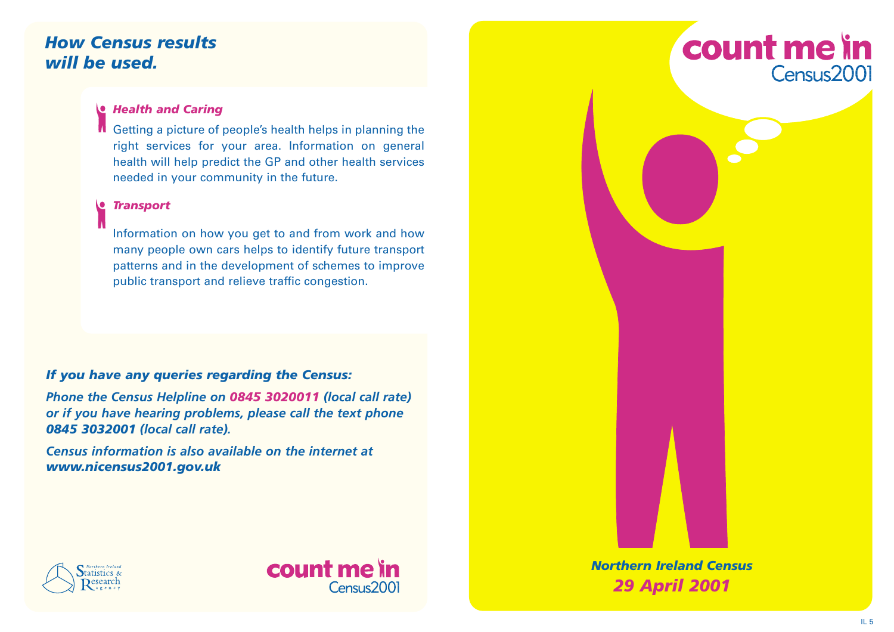# *How Census results will be used.*

### *Health and Caring*

 $\blacksquare$  Getting a picture of people's health helps in planning the right services for your area. Information on general health will help predict the GP and other health services needed in your community in the future.

## *Transport*

Information on how you get to and from work and how many people own cars helps to identify future transport patterns and in the development of schemes to improve public transport and relieve traffic congestion.

# *If you have any queries regarding the Census:*

*Phone the Census Helpline on 0845 3020011 (local call rate) or if you have hearing problems, please call the text phone 0845 3032001 (local call rate).*

*Census information is also available on the internet at www.nicensus2001.gov.uk*



count me in

Census2001

*Northern Ireland Census 29 April 2001*